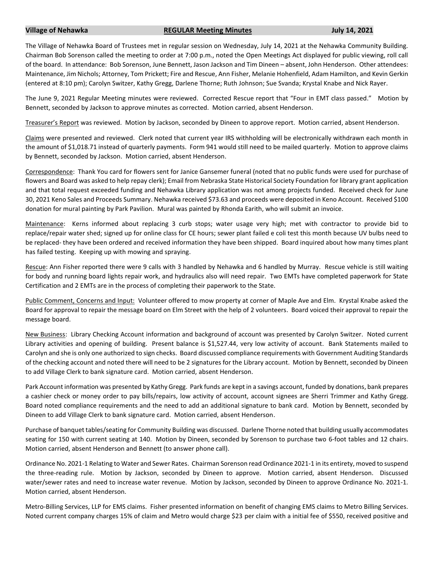## **Village of Nehawka REGULAR Meeting Minutes July 14, 2021**

The Village of Nehawka Board of Trustees met in regular session on Wednesday, July 14, 2021 at the Nehawka Community Building. Chairman Bob Sorenson called the meeting to order at 7:00 p.m., noted the Open Meetings Act displayed for public viewing, roll call of the board. In attendance: Bob Sorenson, June Bennett, Jason Jackson and Tim Dineen – absent, John Henderson. Other attendees: Maintenance, Jim Nichols; Attorney, Tom Prickett; Fire and Rescue, Ann Fisher, Melanie Hohenfield, Adam Hamilton, and Kevin Gerkin (entered at 8:10 pm); Carolyn Switzer, Kathy Gregg, Darlene Thorne; Ruth Johnson; Sue Svanda; Krystal Knabe and Nick Rayer.

The June 9, 2021 Regular Meeting minutes were reviewed. Corrected Rescue report that "Four in EMT class passed." Motion by Bennett, seconded by Jackson to approve minutes as corrected. Motion carried, absent Henderson.

Treasurer's Report was reviewed. Motion by Jackson, seconded by Dineen to approve report. Motion carried, absent Henderson.

Claims were presented and reviewed. Clerk noted that current year IRS withholding will be electronically withdrawn each month in the amount of \$1,018.71 instead of quarterly payments. Form 941 would still need to be mailed quarterly. Motion to approve claims by Bennett, seconded by Jackson. Motion carried, absent Henderson.

Correspondence: Thank You card for flowers sent for Janice Gansemer funeral (noted that no public funds were used for purchase of flowers and Board was asked to help repay clerk); Email from Nebraska State Historical Society Foundation for library grant application and that total request exceeded funding and Nehawka Library application was not among projects funded. Received check for June 30, 2021 Keno Sales and Proceeds Summary. Nehawka received \$73.63 and proceeds were deposited in Keno Account. Received \$100 donation for mural painting by Park Pavilion. Mural was painted by Rhonda Earith, who will submit an invoice.

Maintenance: Kerns informed about replacing 3 curb stops; water usage very high; met with contractor to provide bid to replace/repair water shed; signed up for online class for CE hours; sewer plant failed e coli test this month because UV bulbs need to be replaced- they have been ordered and received information they have been shipped. Board inquired about how many times plant has failed testing. Keeping up with mowing and spraying.

Rescue: Ann Fisher reported there were 9 calls with 3 handled by Nehawka and 6 handled by Murray. Rescue vehicle is still waiting for body and running board lights repair work, and hydraulics also will need repair. Two EMTs have completed paperwork for State Certification and 2 EMTs are in the process of completing their paperwork to the State.

Public Comment, Concerns and Input: Volunteer offered to mow property at corner of Maple Ave and Elm. Krystal Knabe asked the Board for approval to repair the message board on Elm Street with the help of 2 volunteers. Board voiced their approval to repair the message board.

New Business: Library Checking Account information and background of account was presented by Carolyn Switzer. Noted current Library activities and opening of building. Present balance is \$1,527.44, very low activity of account. Bank Statements mailed to Carolyn and she is only one authorized to sign checks. Board discussed compliance requirements with Government Auditing Standards of the checking account and noted there will need to be 2 signatures for the Library account. Motion by Bennett, seconded by Dineen to add Village Clerk to bank signature card. Motion carried, absent Henderson.

Park Account information was presented by Kathy Gregg. Park funds are kept in a savings account, funded by donations, bank prepares a cashier check or money order to pay bills/repairs, low activity of account, account signees are Sherri Trimmer and Kathy Gregg. Board noted compliance requirements and the need to add an additional signature to bank card. Motion by Bennett, seconded by Dineen to add Village Clerk to bank signature card. Motion carried, absent Henderson.

Purchase of banquet tables/seating for Community Building was discussed. Darlene Thorne noted that building usually accommodates seating for 150 with current seating at 140. Motion by Dineen, seconded by Sorenson to purchase two 6-foot tables and 12 chairs. Motion carried, absent Henderson and Bennett (to answer phone call).

Ordinance No. 2021-1 Relating to Water and Sewer Rates. Chairman Sorenson read Ordinance 2021-1 in its entirety, moved to suspend the three-reading rule. Motion by Jackson, seconded by Dineen to approve. Motion carried, absent Henderson. Discussed water/sewer rates and need to increase water revenue. Motion by Jackson, seconded by Dineen to approve Ordinance No. 2021-1. Motion carried, absent Henderson.

Metro-Billing Services, LLP for EMS claims. Fisher presented information on benefit of changing EMS claims to Metro Billing Services. Noted current company charges 15% of claim and Metro would charge \$23 per claim with a initial fee of \$550, received positive and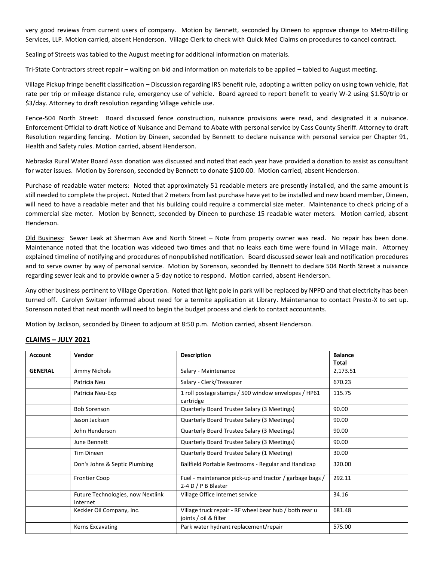very good reviews from current users of company. Motion by Bennett, seconded by Dineen to approve change to Metro-Billing Services, LLP. Motion carried, absent Henderson. Village Clerk to check with Quick Med Claims on procedures to cancel contract.

Sealing of Streets was tabled to the August meeting for additional information on materials.

Tri-State Contractors street repair – waiting on bid and information on materials to be applied – tabled to August meeting.

Village Pickup fringe benefit classification – Discussion regarding IRS benefit rule, adopting a written policy on using town vehicle, flat rate per trip or mileage distance rule, emergency use of vehicle. Board agreed to report benefit to yearly W-2 using \$1.50/trip or \$3/day. Attorney to draft resolution regarding Village vehicle use.

Fence-504 North Street: Board discussed fence construction, nuisance provisions were read, and designated it a nuisance. Enforcement Official to draft Notice of Nuisance and Demand to Abate with personal service by Cass County Sheriff. Attorney to draft Resolution regarding fencing. Motion by Dineen, seconded by Bennett to declare nuisance with personal service per Chapter 91, Health and Safety rules. Motion carried, absent Henderson.

Nebraska Rural Water Board Assn donation was discussed and noted that each year have provided a donation to assist as consultant for water issues. Motion by Sorenson, seconded by Bennett to donate \$100.00. Motion carried, absent Henderson.

Purchase of readable water meters: Noted that approximately 51 readable meters are presently installed, and the same amount is still needed to complete the project. Noted that 2 meters from last purchase have yet to be installed and new board member, Dineen, will need to have a readable meter and that his building could require a commercial size meter. Maintenance to check pricing of a commercial size meter. Motion by Bennett, seconded by Dineen to purchase 15 readable water meters. Motion carried, absent Henderson.

Old Business: Sewer Leak at Sherman Ave and North Street – Note from property owner was read. No repair has been done. Maintenance noted that the location was videoed two times and that no leaks each time were found in Village main. Attorney explained timeline of notifying and procedures of nonpublished notification. Board discussed sewer leak and notification procedures and to serve owner by way of personal service. Motion by Sorenson, seconded by Bennett to declare 504 North Street a nuisance regarding sewer leak and to provide owner a 5-day notice to respond. Motion carried, absent Henderson.

Any other business pertinent to Village Operation. Noted that light pole in park will be replaced by NPPD and that electricity has been turned off. Carolyn Switzer informed about need for a termite application at Library. Maintenance to contact Presto-X to set up. Sorenson noted that next month will need to begin the budget process and clerk to contact accountants.

Motion by Jackson, seconded by Dineen to adjourn at 8:50 p.m. Motion carried, absent Henderson.

| <b>Account</b> | Vendor                                        | <b>Description</b>                                                              | <b>Balance</b><br>Total |
|----------------|-----------------------------------------------|---------------------------------------------------------------------------------|-------------------------|
| <b>GENERAL</b> | Jimmy Nichols                                 | Salary - Maintenance                                                            | 2,173.51                |
|                | Patricia Neu                                  | Salary - Clerk/Treasurer                                                        | 670.23                  |
|                | Patricia Neu-Exp                              | 1 roll postage stamps / 500 window envelopes / HP61<br>cartridge                | 115.75                  |
|                | <b>Bob Sorenson</b>                           | Quarterly Board Trustee Salary (3 Meetings)                                     | 90.00                   |
|                | Jason Jackson                                 | Quarterly Board Trustee Salary (3 Meetings)                                     | 90.00                   |
|                | John Henderson                                | Quarterly Board Trustee Salary (3 Meetings)                                     | 90.00                   |
|                | June Bennett                                  | Quarterly Board Trustee Salary (3 Meetings)                                     | 90.00                   |
|                | <b>Tim Dineen</b>                             | Quarterly Board Trustee Salary (1 Meeting)                                      | 30.00                   |
|                | Don's Johns & Septic Plumbing                 | Ballfield Portable Restrooms - Regular and Handicap                             | 320.00                  |
|                | <b>Frontier Coop</b>                          | Fuel - maintenance pick-up and tractor / garbage bags /<br>2-4 D / P B Blaster  | 292.11                  |
|                | Future Technologies, now Nextlink<br>Internet | Village Office Internet service                                                 | 34.16                   |
|                | Keckler Oil Company, Inc.                     | Village truck repair - RF wheel bear hub / both rear u<br>joints / oil & filter | 681.48                  |
|                | <b>Kerns Excavating</b>                       | Park water hydrant replacement/repair                                           | 575.00                  |

## **CLAIMS – JULY 2021**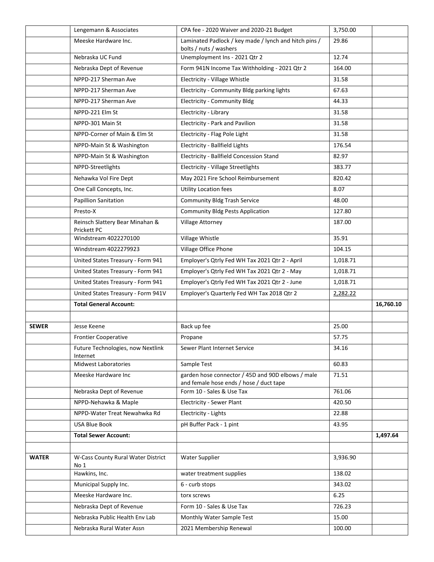|              | Lengemann & Associates                         | CPA fee - 2020 Waiver and 2020-21 Budget                                                     | 3.750.00 |           |
|--------------|------------------------------------------------|----------------------------------------------------------------------------------------------|----------|-----------|
|              | Meeske Hardware Inc.                           | Laminated Padlock / key made / lynch and hitch pins /<br>bolts / nuts / washers              | 29.86    |           |
|              | Nebraska UC Fund                               | Unemployment Ins - 2021 Qtr 2                                                                | 12.74    |           |
|              | Nebraska Dept of Revenue                       | Form 941N Income Tax Withholding - 2021 Qtr 2                                                | 164.00   |           |
|              | NPPD-217 Sherman Ave                           | Electricity - Village Whistle                                                                | 31.58    |           |
|              | NPPD-217 Sherman Ave                           | Electricity - Community Bldg parking lights                                                  | 67.63    |           |
|              | NPPD-217 Sherman Ave                           | Electricity - Community Bldg                                                                 | 44.33    |           |
|              | NPPD-221 Elm St                                | Electricity - Library                                                                        | 31.58    |           |
|              | NPPD-301 Main St                               | Electricity - Park and Pavilion                                                              | 31.58    |           |
|              | NPPD-Corner of Main & Elm St                   | Electricity - Flag Pole Light                                                                | 31.58    |           |
|              | NPPD-Main St & Washington                      | Electricity - Ballfield Lights                                                               | 176.54   |           |
|              | NPPD-Main St & Washington                      | Electricity - Ballfield Concession Stand                                                     | 82.97    |           |
|              | NPPD-Streetlights                              | <b>Electricity - Village Streetlights</b>                                                    | 383.77   |           |
|              | Nehawka Vol Fire Dept                          | May 2021 Fire School Reimbursement                                                           | 820.42   |           |
|              | One Call Concepts, Inc.                        | <b>Utility Location fees</b>                                                                 | 8.07     |           |
|              | <b>Papillion Sanitation</b>                    | <b>Community Bldg Trash Service</b>                                                          | 48.00    |           |
|              | Presto-X                                       | <b>Community Bldg Pests Application</b>                                                      | 127.80   |           |
|              | Reinsch Slattery Bear Minahan &<br>Prickett PC | Village Attorney                                                                             | 187.00   |           |
|              | Windstream 4022270100                          | Village Whistle                                                                              | 35.91    |           |
|              | Windstream 4022279923                          | Village Office Phone                                                                         | 104.15   |           |
|              | United States Treasury - Form 941              | Employer's Qtrly Fed WH Tax 2021 Qtr 2 - April                                               | 1,018.71 |           |
|              | United States Treasury - Form 941              | Employer's Qtrly Fed WH Tax 2021 Qtr 2 - May                                                 | 1,018.71 |           |
|              | United States Treasury - Form 941              | Employer's Qtrly Fed WH Tax 2021 Qtr 2 - June                                                | 1,018.71 |           |
|              | United States Treasury - Form 941V             | Employer's Quarterly Fed WH Tax 2018 Qtr 2                                                   | 2,282.22 |           |
|              | <b>Total General Account:</b>                  |                                                                                              |          | 16,760.10 |
|              |                                                |                                                                                              |          |           |
| <b>SEWER</b> | Jesse Keene                                    | Back up fee                                                                                  | 25.00    |           |
|              | <b>Frontier Cooperative</b>                    | Propane                                                                                      | 57.75    |           |
|              | Future Technologies, now Nextlink<br>Internet  | Sewer Plant Internet Service                                                                 | 34.16    |           |
|              | <b>Midwest Laboratories</b>                    | Sample Test                                                                                  | 60.83    |           |
|              | Meeske Hardware Inc                            | garden hose connector / 45D and 90D elbows / male<br>and female hose ends / hose / duct tape | 71.51    |           |
|              | Nebraska Dept of Revenue                       | Form 10 - Sales & Use Tax                                                                    | 761.06   |           |
|              | NPPD-Nehawka & Maple                           | <b>Electricity - Sewer Plant</b>                                                             | 420.50   |           |
|              | NPPD-Water Treat Newahwka Rd                   | Electricity - Lights                                                                         | 22.88    |           |
|              | <b>USA Blue Book</b>                           | pH Buffer Pack - 1 pint                                                                      | 43.95    |           |
|              | <b>Total Sewer Account:</b>                    |                                                                                              |          | 1,497.64  |
| <b>WATER</b> | W-Cass County Rural Water District<br>No 1     | <b>Water Supplier</b>                                                                        | 3,936.90 |           |
|              | Hawkins, Inc.                                  | water treatment supplies                                                                     | 138.02   |           |
|              | Municipal Supply Inc.                          | 6 - curb stops                                                                               | 343.02   |           |
|              | Meeske Hardware Inc.                           | torx screws                                                                                  | 6.25     |           |
|              | Nebraska Dept of Revenue                       | Form 10 - Sales & Use Tax                                                                    | 726.23   |           |
|              | Nebraska Public Health Env Lab                 | Monthly Water Sample Test                                                                    | 15.00    |           |
|              | Nebraska Rural Water Assn                      | 2021 Membership Renewal                                                                      | 100.00   |           |